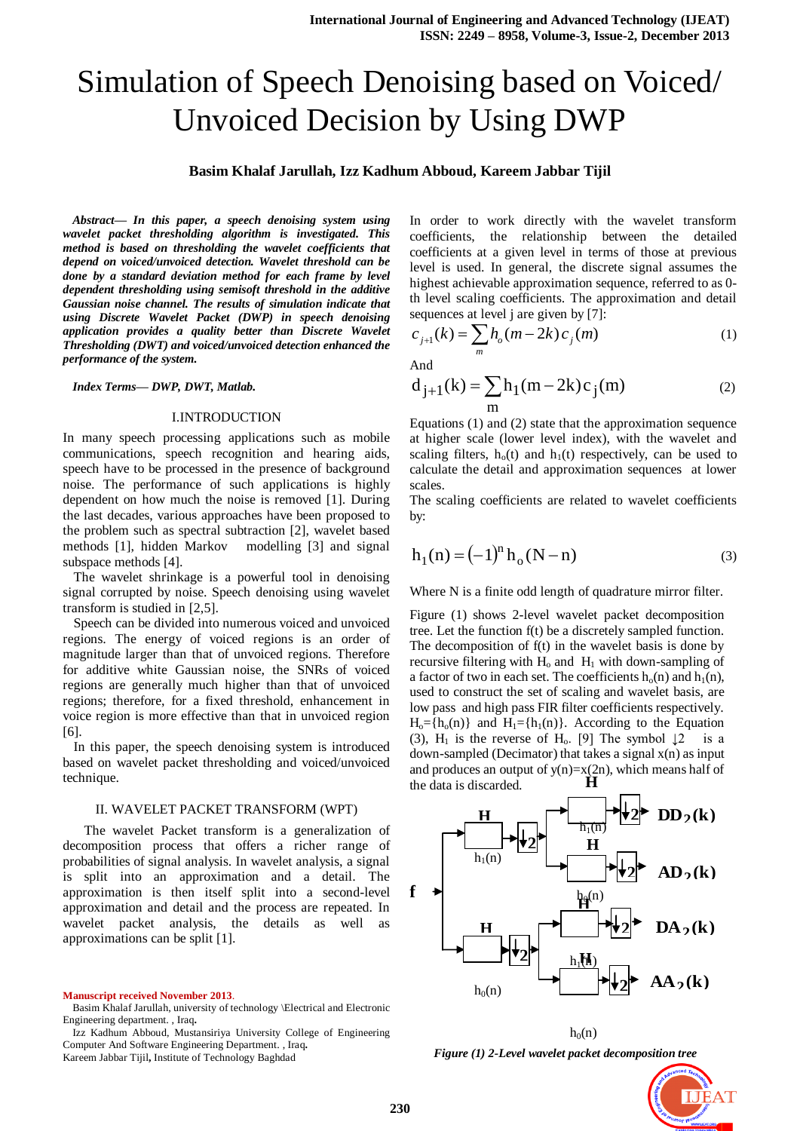# Simulation of Speech Denoising based on Voiced/ Unvoiced Decision by Using DWP

# **Basim Khalaf Jarullah, Izz Kadhum Abboud, Kareem Jabbar Tijil**

*Abstract— In this paper, a speech denoising system using wavelet packet thresholding algorithm is investigated. This method is based on thresholding the wavelet coefficients that depend on voiced/unvoiced detection. Wavelet threshold can be done by a standard deviation method for each frame by level dependent thresholding using semisoft threshold in the additive Gaussian noise channel. The results of simulation indicate that using Discrete Wavelet Packet (DWP) in speech denoising application provides a quality better than Discrete Wavelet Thresholding (DWT) and voiced/unvoiced detection enhanced the performance of the system.*

### *Index Terms— DWP, DWT, Matlab.*

# I.INTRODUCTION

In many speech processing applications such as mobile communications, speech recognition and hearing aids, speech have to be processed in the presence of background noise. The performance of such applications is highly dependent on how much the noise is removed [1]. During the last decades, various approaches have been proposed to the problem such as spectral subtraction [2], wavelet based methods [1], hidden Markov modelling [3] and signal subspace methods [4].

 The wavelet shrinkage is a powerful tool in denoising signal corrupted by noise. Speech denoising using wavelet transform is studied in [2,5].

 Speech can be divided into numerous voiced and unvoiced regions. The energy of voiced regions is an order of magnitude larger than that of unvoiced regions. Therefore for additive white Gaussian noise, the SNRs of voiced regions are generally much higher than that of unvoiced regions; therefore, for a fixed threshold, enhancement in voice region is more effective than that in unvoiced region [6].

 In this paper, the speech denoising system is introduced based on wavelet packet thresholding and voiced/unvoiced technique.

# II. WAVELET PACKET TRANSFORM (WPT)

 The wavelet Packet transform is a generalization of decomposition process that offers a richer range of probabilities of signal analysis. In wavelet analysis, a signal is split into an approximation and a detail. The approximation is then itself split into a second-level approximation and detail and the process are repeated. In wavelet packet analysis, the details as well as approximations can be split [1].

**Manuscript received November 2013**.

In order to work directly with the wavelet transform coefficients, the relationship between the detailed coefficients at a given level in terms of those at previous level is used. In general, the discrete signal assumes the highest achievable approximation sequence, referred to as 0 th level scaling coefficients. The approximation and detail sequences at level j are given by [7]:

$$
c_{j+1}(k) = \sum_{m} h_o(m - 2k) c_j(m)
$$
 (1)

And

$$
d_{j+1}(k) = \sum_{m} h_1(m - 2k)c_j(m)
$$
 (2)

Equations (1) and (2) state that the approximation sequence at higher scale (lower level index), with the wavelet and scaling filters,  $h_0(t)$  and  $h_1(t)$  respectively, can be used to calculate the detail and approximation sequences at lower scales.

The scaling coefficients are related to wavelet coefficients by:

$$
h_1(n) = (-1)^n h_o (N - n)
$$
 (3)

Where N is a finite odd length of quadrature mirror filter.

Figure (1) shows 2-level wavelet packet decomposition tree. Let the function f(t) be a discretely sampled function. The decomposition of f(t) in the wavelet basis is done by recursive filtering with  $H_0$  and  $H_1$  with down-sampling of a factor of two in each set. The coefficients  $h_0(n)$  and  $h_1(n)$ , used to construct the set of scaling and wavelet basis, are low pass and high pass FIR filter coefficients respectively.  $H_0 = {h_0(n)}$  and  $H_1 = {h_1(n)}$ . According to the Equation (3), H<sub>1</sub> is the reverse of H<sub>0</sub>. [9] The symbol  $\downarrow$ 2 is a down-sampled (Decimator) that takes a signal  $x(n)$  as input and produces an output of  $y(n)=x(2n)$ , which means half of the data is discarded. **H**



*Figure (1) 2-Level wavelet packet decomposition tree*

 $h_0(n)$ 



Basim Khalaf Jarullah, university of technology \Electrical and Electronic Engineering department. , Iraq**.**

Izz Kadhum Abboud, Mustansiriya University College of Engineering Computer And Software Engineering Department. , Iraq**.** Kareem Jabbar Tijil**,** Institute of Technology Baghdad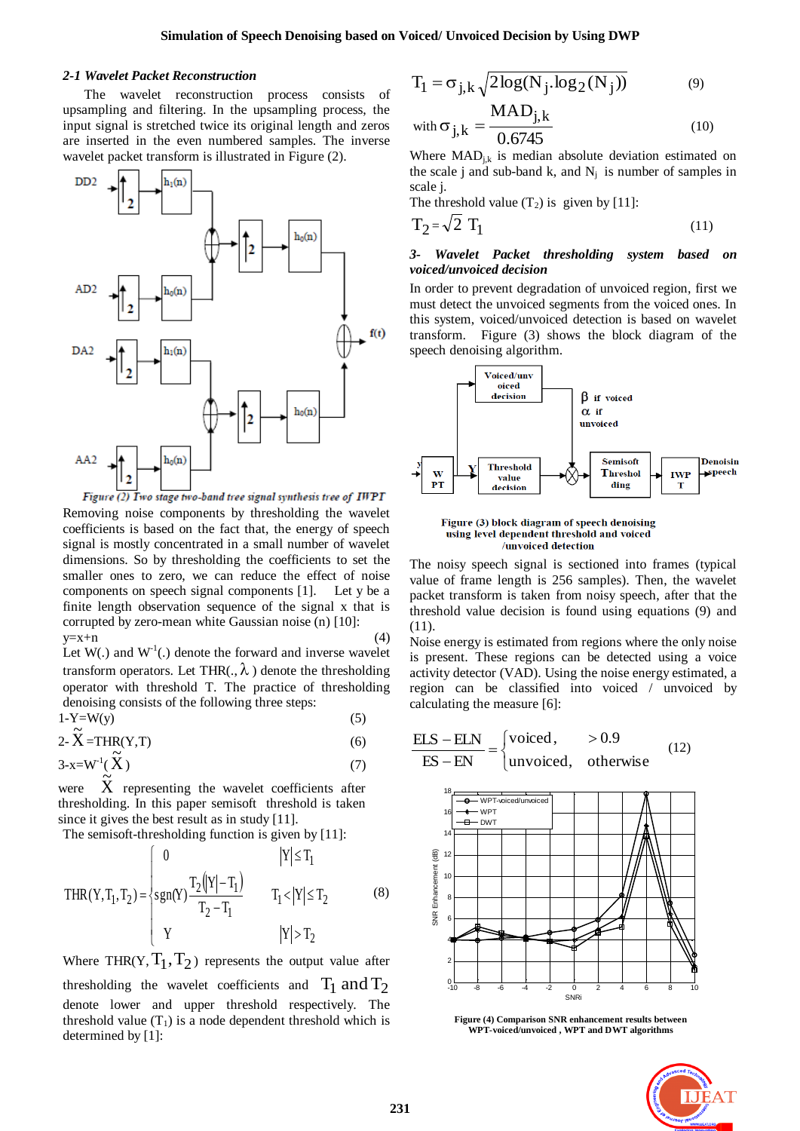## *2-1 Wavelet Packet Reconstruction*

The wavelet reconstruction process consists of upsampling and filtering. In the upsampling process, the input signal is stretched twice its original length and zeros are inserted in the even numbered samples. The inverse wavelet packet transform is illustrated in Figure (2).



Figure (2) Iwo stage two-band tree signal synthesis tree of IWPI Removing noise components by thresholding the wavelet coefficients is based on the fact that, the energy of speech signal is mostly concentrated in a small number of wavelet dimensions. So by thresholding the coefficients to set the smaller ones to zero, we can reduce the effect of noise components on speech signal components [1]. Let y be a finite length observation sequence of the signal x that is corrupted by zero-mean white Gaussian noise (n) [10]:  $y=x+n$  (4)

Let  $W(.)$  and  $W<sup>-1</sup>(.)$  denote the forward and inverse wavelet transform operators. Let THR(.,  $\lambda$ ) denote the thresholding operator with threshold T. The practice of thresholding denoising consists of the following three steps:

$$
1-Y=W(y) \tag{5}
$$

$$
2-\mathbf{X} = \text{THR}(Y, T) \tag{6}
$$

$$
3-x=W^1(\check{X})\tag{7}
$$

were  $\widetilde{X}$  representing the wavelet coefficients after thresholding. In this paper semisoft threshold is taken since it gives the best result as in study [11].

The semisoft-thresholding function is given by [11]:

$$
THR(Y, T_1, T_2) = \begin{cases} 0 & |Y| \le T_1 \\ sgn(Y) \frac{T_2(|Y| - T_1)}{T_2 - T_1} & T_1 < |Y| \le T_2 \\ Y & |Y| > T_2 \end{cases}
$$
 (8)

Where THR(Y,  $T_1$ ,  $T_2$ ) represents the output value after thresholding the wavelet coefficients and  $T_1$  and  $T_2$ denote lower and upper threshold respectively. The threshold value  $(T_1)$  is a node dependent threshold which is determined by [1]:

$$
T_1 = \sigma_{j,k} \sqrt{2\log(N_j \cdot \log_2(N_j))}
$$
 (9)

with 
$$
\sigma_{j,k} = \frac{MAD_{j,k}}{0.6745}
$$
 (10)

Where  $\text{MAD}_{j,k}$  is median absolute deviation estimated on the scale j and sub-band k, and  $N_j$  is number of samples in scale j.

The threshold value  $(T_2)$  is given by [11]:

$$
T_2 = \sqrt{2} T_1 \tag{11}
$$

# *3- Wavelet Packet thresholding system based on voiced/unvoiced decision*

In order to prevent degradation of unvoiced region, first we must detect the unvoiced segments from the voiced ones. In this system, voiced/unvoiced detection is based on wavelet transform. Figure (3) shows the block diagram of the speech denoising algorithm.



Figure (3) block diagram of speech denoising using level dependent threshold and voiced /unvoiced detection

The noisy speech signal is sectioned into frames (typical value of frame length is 256 samples). Then, the wavelet packet transform is taken from noisy speech, after that the threshold value decision is found using equations (9) and (11).

Noise energy is estimated from regions where the only noise is present. These regions can be detected using a voice activity detector (VAD). Using the noise energy estimated, a region can be classified into voiced / unvoiced by calculating the measure [6]:



**Figure (4) Comparison SNR enhancement results between WPT-voiced/unvoiced , WPT and DWT algorithms**

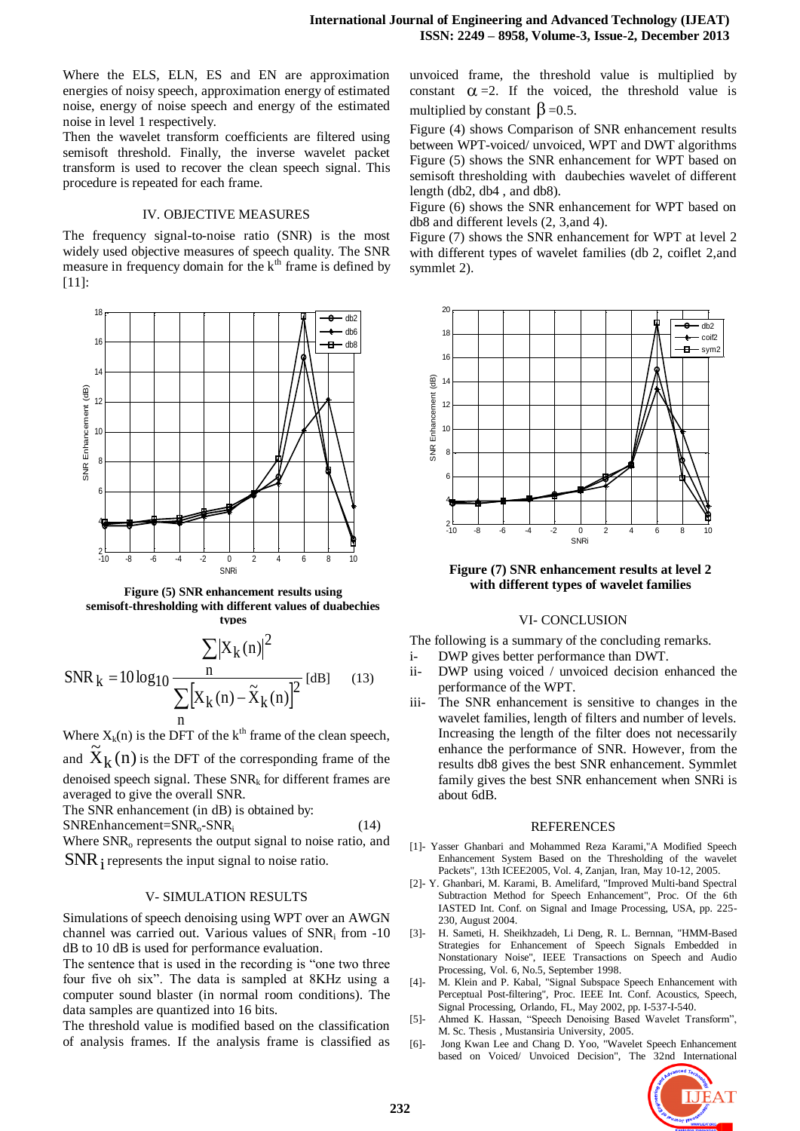Where the ELS, ELN, ES and EN are approximation energies of noisy speech, approximation energy of estimated noise, energy of noise speech and energy of the estimated noise in level 1 respectively.

Then the wavelet transform coefficients are filtered using semisoft threshold. Finally, the inverse wavelet packet transform is used to recover the clean speech signal. This procedure is repeated for each frame.

# IV. OBJECTIVE MEASURES

The frequency signal-to-noise ratio (SNR) is the most widely used objective measures of speech quality. The SNR measure in frequency domain for the  $k<sup>th</sup>$  frame is defined by [11]:



**Figure (5) SNR enhancement results using semisoft-thresholding with different values of duabechies types** 

SNR<sub>k</sub> = 
$$
10 \log_{10} \frac{\sum |X_{k}(n)|^{2}}{\sum_{n} [X_{k}(n) - \tilde{X}_{k}(n)]^{2}}
$$
 [dB] (13)

Where  $X_k(n)$  is the DFT of the k<sup>th</sup> frame of the clean speech, and  $\widetilde{X}_k(n)$  $k(n)$  is the DFT of the corresponding frame of the denoised speech signal. These  $SNR_k$  for different frames are

averaged to give the overall SNR. The SNR enhancement (in dB) is obtained by:

SNREnhancement=SNRo-SNR<sup>i</sup>

Where SNR<sub>o</sub> represents the output signal to noise ratio, and  $\text{SNR}_\text{i}$  represents the input signal to noise ratio.

# V- SIMULATION RESULTS

Simulations of speech denoising using WPT over an AWGN channel was carried out. Various values of SNR<sup>i</sup> from -10 dB to 10 dB is used for performance evaluation.

The sentence that is used in the recording is "one two three four five oh six". The data is sampled at 8KHz using a computer sound blaster (in normal room conditions). The data samples are quantized into 16 bits.

The threshold value is modified based on the classification of analysis frames. If the analysis frame is classified as unvoiced frame, the threshold value is multiplied by constant  $\alpha = 2$ . If the voiced, the threshold value is multiplied by constant  $\beta = 0.5$ .

Figure (4) shows Comparison of SNR enhancement results between WPT-voiced/ unvoiced, WPT and DWT algorithms Figure (5) shows the SNR enhancement for WPT based on semisoft thresholding with daubechies wavelet of different length (db2, db4 , and db8).

Figure (6) shows the SNR enhancement for WPT based on db8 and different levels (2, 3,and 4).

Figure (7) shows the SNR enhancement for WPT at level 2 with different types of wavelet families (db 2, coiflet 2,and symmlet 2).



**Figure (7) SNR enhancement results at level 2 with different types of wavelet families** 

# VI- CONCLUSION

The following is a summary of the concluding remarks.

- i- DWP gives better performance than DWT.
- ii- DWP using voiced / unvoiced decision enhanced the performance of the WPT.
- iii- The SNR enhancement is sensitive to changes in the wavelet families, length of filters and number of levels. Increasing the length of the filter does not necessarily enhance the performance of SNR. However, from the results db8 gives the best SNR enhancement. Symmlet family gives the best SNR enhancement when SNRi is about 6dB.

# REFERENCES

- [1]- Yasser Ghanbari and Mohammed Reza Karami,"A Modified Speech Enhancement System Based on the Thresholding of the wavelet Packets", 13th ICEE2005, Vol. 4, Zanjan, Iran, May 10-12, 2005.
- [2]- Y. Ghanbari, M. Karami, B. Amelifard, "Improved Multi-band Spectral Subtraction Method for Speech Enhancement", Proc. Of the 6th IASTED Int. Conf. on Signal and Image Processing, USA, pp. 225- 230, August 2004.
- [3]- H. Sameti, H. Sheikhzadeh, Li Deng, R. L. Bernnan, "HMM-Based Strategies for Enhancement of Speech Signals Embedded in Nonstationary Noise", IEEE Transactions on Speech and Audio Processing, Vol. 6, No.5, September 1998.
- [4]- M. Klein and P. Kabal, "Signal Subspace Speech Enhancement with Perceptual Post-filtering", Proc. IEEE Int. Conf. Acoustics, Speech, Signal Processing, Orlando, FL, May 2002, pp. I-537-I-540.
- [5]- Ahmed K. Hassan, "Speech Denoising Based Wavelet Transform", M. Sc. Thesis , Mustansiria University, 2005.
- [6]- Jong Kwan Lee and Chang D. Yoo, "Wavelet Speech Enhancement based on Voiced/ Unvoiced Decision", The 32nd International



(14)